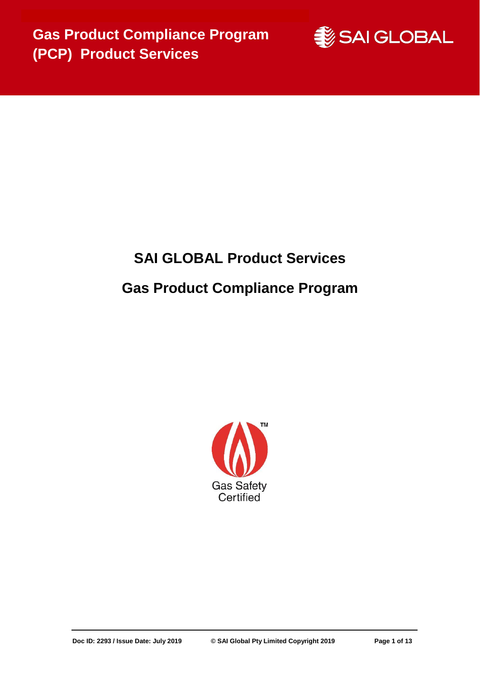

# **SAI GLOBAL Product Services**

# **Gas Product Compliance Program**

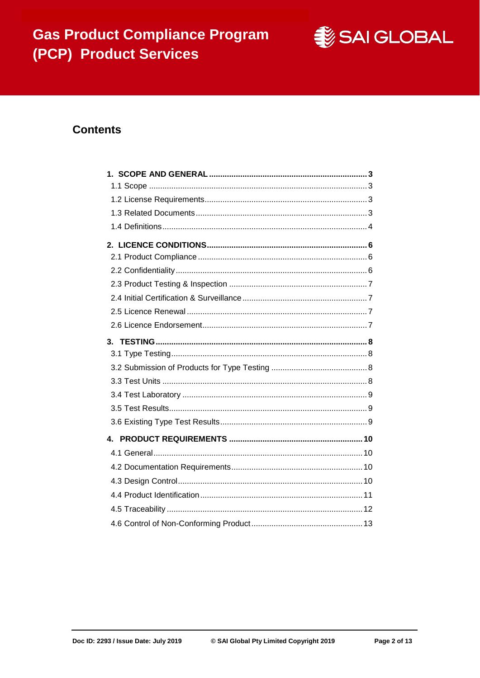# **Gas Product Compliance Program** (PCP) Product Services



## **Contents**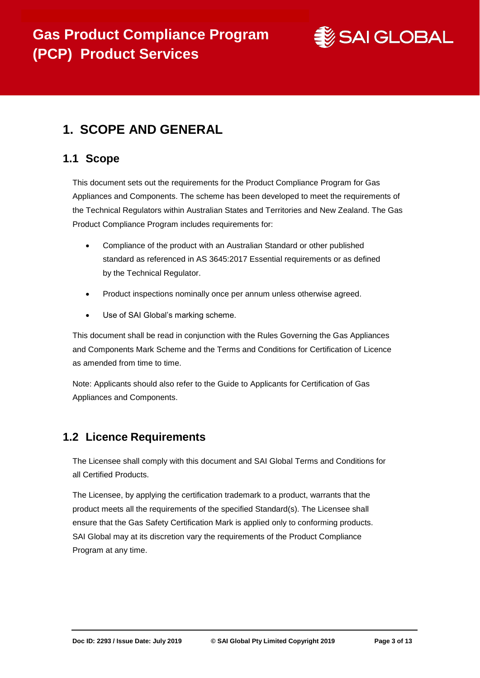

# <span id="page-2-0"></span>**1. SCOPE AND GENERAL**

## <span id="page-2-1"></span>**1.1 Scope**

This document sets out the requirements for the Product Compliance Program for Gas Appliances and Components. The scheme has been developed to meet the requirements of the Technical Regulators within Australian States and Territories and New Zealand. The Gas Product Compliance Program includes requirements for:

- Compliance of the product with an Australian Standard or other published standard as referenced in AS 3645:2017 Essential requirements or as defined by the Technical Regulator.
- Product inspections nominally once per annum unless otherwise agreed.
- Use of SAI Global's marking scheme.

This document shall be read in conjunction with the Rules Governing the Gas Appliances and Components Mark Scheme and the Terms and Conditions for Certification of Licence as amended from time to time.

Note: Applicants should also refer to the Guide to Applicants for Certification of Gas Appliances and Components.

## <span id="page-2-2"></span>**1.2 Licence Requirements**

The Licensee shall comply with this document and SAI Global Terms and Conditions for all Certified Products.

The Licensee, by applying the certification trademark to a product, warrants that the product meets all the requirements of the specified Standard(s). The Licensee shall ensure that the Gas Safety Certification Mark is applied only to conforming products. SAI Global may at its discretion vary the requirements of the Product Compliance Program at any time.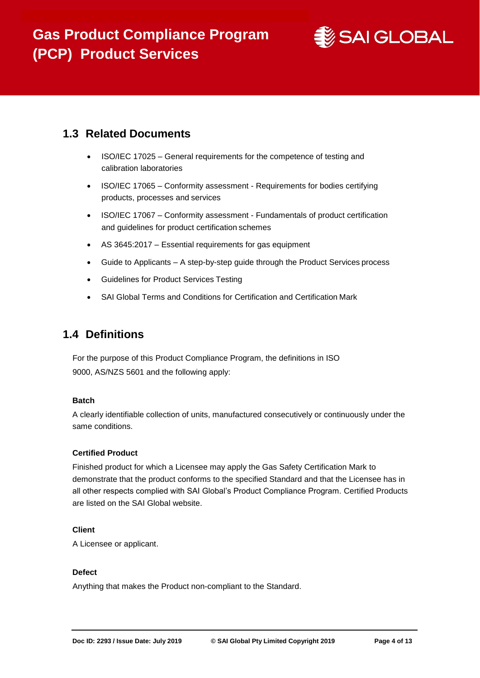

# <span id="page-3-0"></span>**1.3 Related Documents**

- ISO/IEC 17025 General requirements for the competence of testing and calibration laboratories
- ISO/IEC 17065 Conformity assessment Requirements for bodies certifying products, processes and services
- ISO/IEC 17067 Conformity assessment Fundamentals of product certification and guidelines for product certification schemes
- AS 3645:2017 Essential requirements for gas equipment
- Guide to Applicants A step-by-step guide through the Product Services process
- Guidelines for Product Services Testing
- SAI Global Terms and Conditions for Certification and Certification Mark

## <span id="page-3-1"></span>**1.4 Definitions**

For the purpose of this Product Compliance Program, the definitions in ISO 9000, AS/NZS 5601 and the following apply:

#### **Batch**

A clearly identifiable collection of units, manufactured consecutively or continuously under the same conditions.

#### **Certified Product**

Finished product for which a Licensee may apply the Gas Safety Certification Mark to demonstrate that the product conforms to the specified Standard and that the Licensee has in all other respects complied with SAI Global's Product Compliance Program. Certified Products are listed on the SAI Global website.

#### **Client**

A Licensee or applicant.

#### **Defect**

Anything that makes the Product non-compliant to the Standard.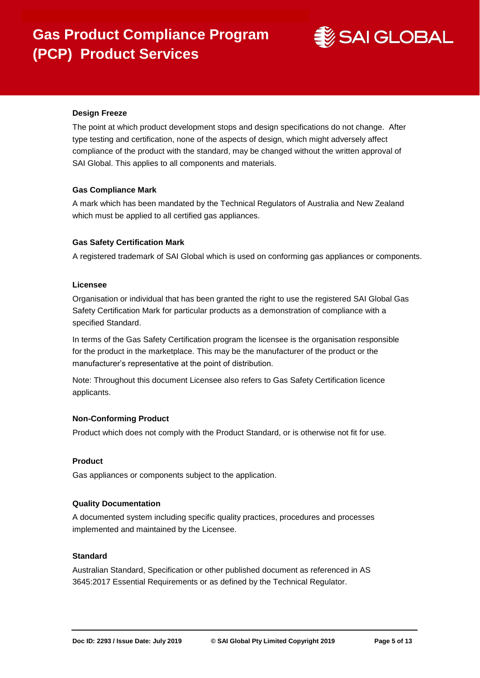# **Gas Product Compliance Program (PCP) Product Services**



#### **Design Freeze**

The point at which product development stops and design specifications do not change. After type testing and certification, none of the aspects of design, which might adversely affect compliance of the product with the standard, may be changed without the written approval of SAI Global. This applies to all components and materials.

#### **Gas Compliance Mark**

A mark which has been mandated by the Technical Regulators of Australia and New Zealand which must be applied to all certified gas appliances.

#### **Gas Safety Certification Mark**

A registered trademark of SAI Global which is used on conforming gas appliances or components.

#### **Licensee**

Organisation or individual that has been granted the right to use the registered SAI Global Gas Safety Certification Mark for particular products as a demonstration of compliance with a specified Standard.

In terms of the Gas Safety Certification program the licensee is the organisation responsible for the product in the marketplace. This may be the manufacturer of the product or the manufacturer's representative at the point of distribution.

Note: Throughout this document Licensee also refers to Gas Safety Certification licence applicants.

#### **Non-Conforming Product**

Product which does not comply with the Product Standard, or is otherwise not fit for use.

#### **Product**

Gas appliances or components subject to the application.

#### **Quality Documentation**

A documented system including specific quality practices, procedures and processes implemented and maintained by the Licensee.

#### **Standard**

Australian Standard, Specification or other published document as referenced in AS 3645:2017 Essential Requirements or as defined by the Technical Regulator.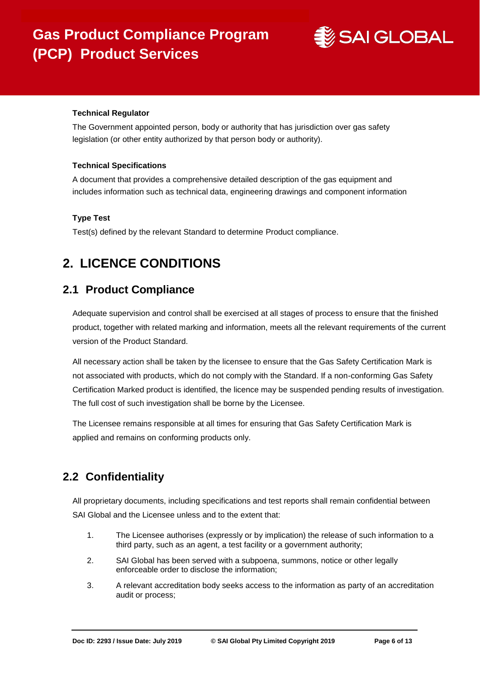# **Gas Product Compliance Program (PCP) Product Services**



#### **Technical Regulator**

The Government appointed person, body or authority that has jurisdiction over gas safety legislation (or other entity authorized by that person body or authority).

#### **Technical Specifications**

A document that provides a comprehensive detailed description of the gas equipment and includes information such as technical data, engineering drawings and component information

### **Type Test**

Test(s) defined by the relevant Standard to determine Product compliance.

# <span id="page-5-0"></span>**2. LICENCE CONDITIONS**

## <span id="page-5-1"></span>**2.1 Product Compliance**

Adequate supervision and control shall be exercised at all stages of process to ensure that the finished product, together with related marking and information, meets all the relevant requirements of the current version of the Product Standard.

All necessary action shall be taken by the licensee to ensure that the Gas Safety Certification Mark is not associated with products, which do not comply with the Standard. If a non-conforming Gas Safety Certification Marked product is identified, the licence may be suspended pending results of investigation. The full cost of such investigation shall be borne by the Licensee.

The Licensee remains responsible at all times for ensuring that Gas Safety Certification Mark is applied and remains on conforming products only.

# <span id="page-5-2"></span>**2.2 Confidentiality**

All proprietary documents, including specifications and test reports shall remain confidential between SAI Global and the Licensee unless and to the extent that:

- 1. The Licensee authorises (expressly or by implication) the release of such information to a third party, such as an agent, a test facility or a government authority;
- 2. SAI Global has been served with a subpoena, summons, notice or other legally enforceable order to disclose the information;
- 3. A relevant accreditation body seeks access to the information as party of an accreditation audit or process;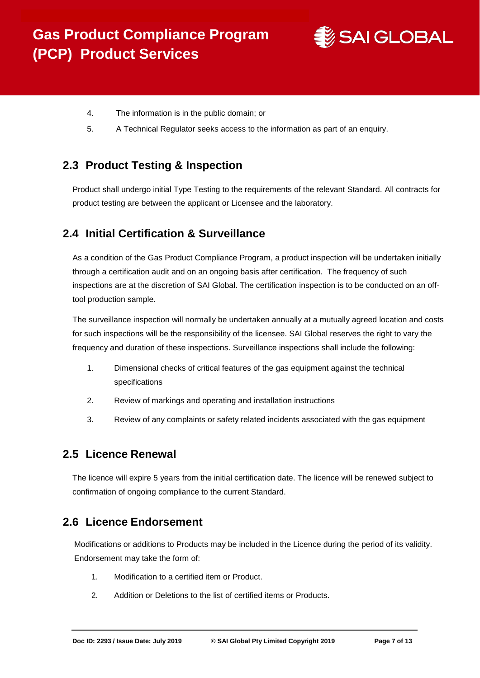

- 4. The information is in the public domain; or
- 5. A Technical Regulator seeks access to the information as part of an enquiry.

## **2.3 Product Testing & Inspection**

Product shall undergo initial Type Testing to the requirements of the relevant Standard. All contracts for product testing are between the applicant or Licensee and the laboratory.

# **2.4 Initial Certification & Surveillance**

As a condition of the Gas Product Compliance Program, a product inspection will be undertaken initially through a certification audit and on an ongoing basis after certification. The frequency of such inspections are at the discretion of SAI Global. The certification inspection is to be conducted on an offtool production sample.

The surveillance inspection will normally be undertaken annually at a mutually agreed location and costs for such inspections will be the responsibility of the licensee. SAI Global reserves the right to vary the frequency and duration of these inspections. Surveillance inspections shall include the following:

- 1. Dimensional checks of critical features of the gas equipment against the technical specifications
- 2. Review of markings and operating and installation instructions
- 3. Review of any complaints or safety related incidents associated with the gas equipment

### <span id="page-6-0"></span>**2.5 Licence Renewal**

The licence will expire 5 years from the initial certification date. The licence will be renewed subject to confirmation of ongoing compliance to the current Standard.

### **2.6 Licence Endorsement**

Modifications or additions to Products may be included in the Licence during the period of its validity. Endorsement may take the form of:

- 1. Modification to a certified item or Product.
- 2. Addition or Deletions to the list of certified items or Products.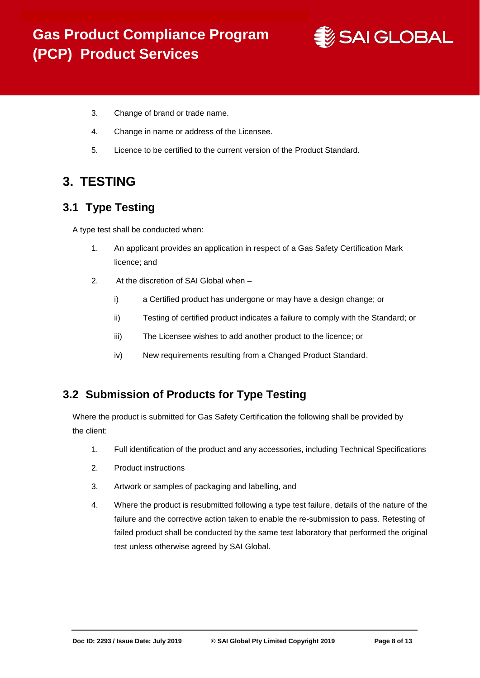

- 3. Change of brand or trade name.
- 4. Change in name or address of the Licensee.
- 5. Licence to be certified to the current version of the Product Standard.

# <span id="page-7-0"></span>**3. TESTING**

# <span id="page-7-1"></span>**3.1 Type Testing**

A type test shall be conducted when:

- 1. An applicant provides an application in respect of a Gas Safety Certification Mark licence; and
- 2. At the discretion of SAI Global when
	- i) a Certified product has undergone or may have a design change; or
	- ii) Testing of certified product indicates a failure to comply with the Standard; or
	- iii) The Licensee wishes to add another product to the licence; or
	- iv) New requirements resulting from a Changed Product Standard.

# **3.2 Submission of Products for Type Testing**

Where the product is submitted for Gas Safety Certification the following shall be provided by the client:

- 1. Full identification of the product and any accessories, including Technical Specifications
- 2. Product instructions
- 3. Artwork or samples of packaging and labelling, and
- 4. Where the product is resubmitted following a type test failure, details of the nature of the failure and the corrective action taken to enable the re-submission to pass. Retesting of failed product shall be conducted by the same test laboratory that performed the original test unless otherwise agreed by SAI Global.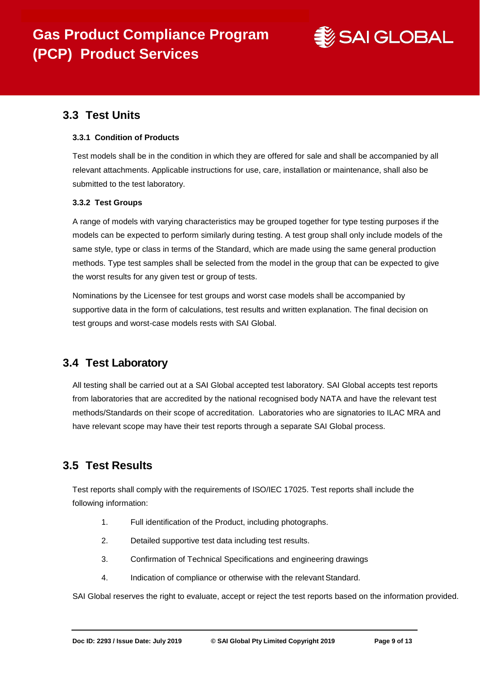

## <span id="page-8-0"></span>**3.3 Test Units**

#### **3.3.1 Condition of Products**

Test models shall be in the condition in which they are offered for sale and shall be accompanied by all relevant attachments. Applicable instructions for use, care, installation or maintenance, shall also be submitted to the test laboratory.

### **3.3.2 Test Groups**

A range of models with varying characteristics may be grouped together for type testing purposes if the models can be expected to perform similarly during testing. A test group shall only include models of the same style, type or class in terms of the Standard, which are made using the same general production methods. Type test samples shall be selected from the model in the group that can be expected to give the worst results for any given test or group of tests.

Nominations by the Licensee for test groups and worst case models shall be accompanied by supportive data in the form of calculations, test results and written explanation. The final decision on test groups and worst-case models rests with SAI Global.

## <span id="page-8-1"></span>**3.4 Test Laboratory**

All testing shall be carried out at a SAI Global accepted test laboratory. SAI Global accepts test reports from laboratories that are accredited by the national recognised body NATA and have the relevant test methods/Standards on their scope of accreditation. Laboratories who are signatories to ILAC MRA and have relevant scope may have their test reports through a separate SAI Global process.

# **3.5 Test Results**

Test reports shall comply with the requirements of ISO/IEC 17025. Test reports shall include the following information:

- 1. Full identification of the Product, including photographs.
- 2. Detailed supportive test data including test results.
- 3. Confirmation of Technical Specifications and engineering drawings
- 4. Indication of compliance or otherwise with the relevant Standard.

SAI Global reserves the right to evaluate, accept or reject the test reports based on the information provided.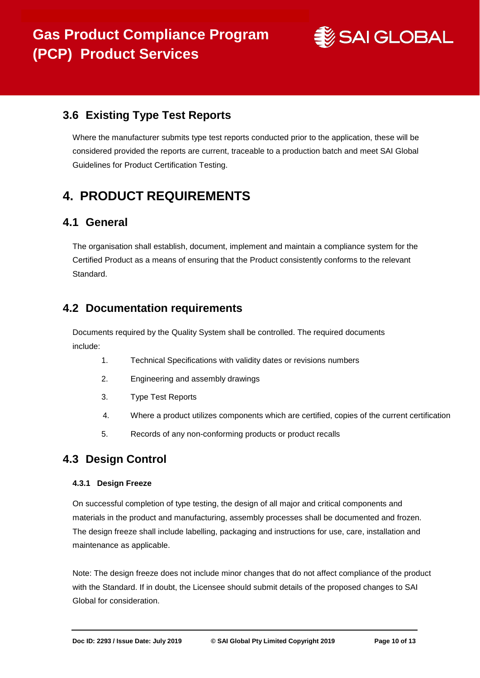

# **3.6 Existing Type Test Reports**

Where the manufacturer submits type test reports conducted prior to the application, these will be considered provided the reports are current, traceable to a production batch and meet SAI Global Guidelines for Product Certification Testing.

# <span id="page-9-0"></span>**4. PRODUCT REQUIREMENTS**

# <span id="page-9-1"></span>**4.1 General**

The organisation shall establish, document, implement and maintain a compliance system for the Certified Product as a means of ensuring that the Product consistently conforms to the relevant Standard.

# <span id="page-9-2"></span>**4.2 Documentation requirements**

Documents required by the Quality System shall be controlled. The required documents include:

- 1. Technical Specifications with validity dates or revisions numbers
- 2. Engineering and assembly drawings
- 3. Type Test Reports
- 4. Where a product utilizes components which are certified, copies of the current certification
- 5. Records of any non-conforming products or product recalls

# **4.3 Design Control**

### **4.3.1 Design Freeze**

On successful completion of type testing, the design of all major and critical components and materials in the product and manufacturing, assembly processes shall be documented and frozen. The design freeze shall include labelling, packaging and instructions for use, care, installation and maintenance as applicable.

Note: The design freeze does not include minor changes that do not affect compliance of the product with the Standard. If in doubt, the Licensee should submit details of the proposed changes to SAI Global for consideration.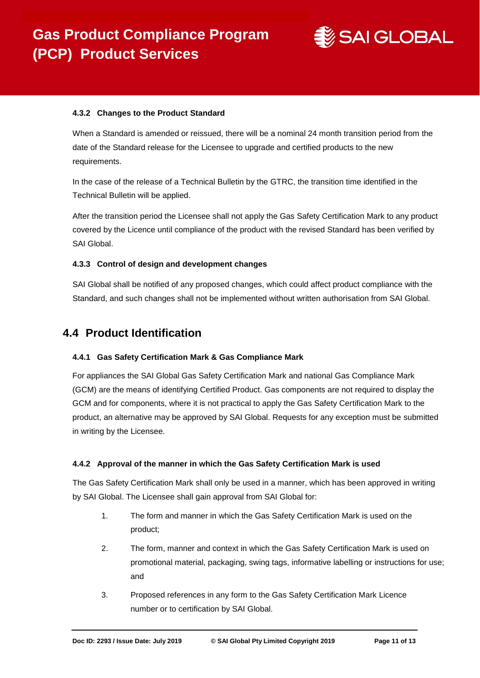

#### **4.3.2 Changes to the Product Standard**

When a Standard is amended or reissued, there will be a nominal 24 month transition period from the date of the Standard release for the Licensee to upgrade and certified products to the new requirements.

In the case of the release of a Technical Bulletin by the GTRC, the transition time identified in the Technical Bulletin will be applied.

After the transition period the Licensee shall not apply the Gas Safety Certification Mark to any product covered by the Licence until compliance of the product with the revised Standard has been verified by SAI Global.

#### **4.3.3 Control of design and development changes**

SAI Global shall be notified of any proposed changes, which could affect product compliance with the Standard, and such changes shall not be implemented without written authorisation from SAI Global.

### **4.4 Product Identification**

#### **4.4.1 Gas Safety Certification Mark & Gas Compliance Mark**

For appliances the SAI Global Gas Safety Certification Mark and national Gas Compliance Mark (GCM) are the means of identifying Certified Product. Gas components are not required to display the GCM and for components, where it is not practical to apply the Gas Safety Certification Mark to the product, an alternative may be approved by SAI Global. Requests for any exception must be submitted in writing by the Licensee.

#### **4.4.2 Approval of the manner in which the Gas Safety Certification Mark is used**

The Gas Safety Certification Mark shall only be used in a manner, which has been approved in writing by SAI Global. The Licensee shall gain approval from SAI Global for:

- 1. The form and manner in which the Gas Safety Certification Mark is used on the product;
- 2. The form, manner and context in which the Gas Safety Certification Mark is used on promotional material, packaging, swing tags, informative labelling or instructions for use; and
- 3. Proposed references in any form to the Gas Safety Certification Mark Licence number or to certification by SAI Global.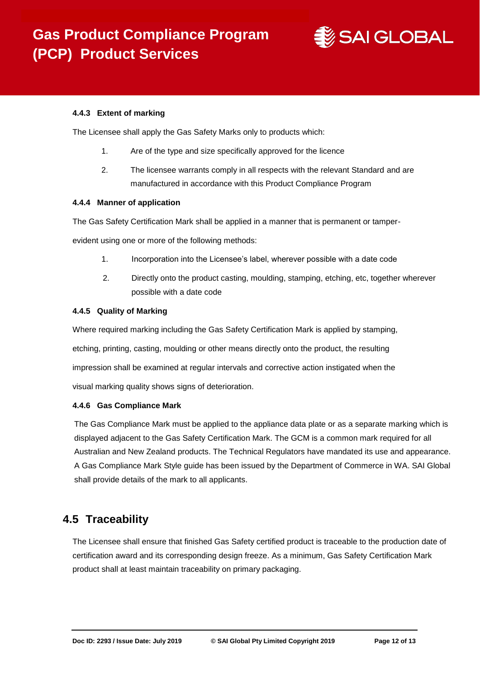

#### **4.4.3 Extent of marking**

The Licensee shall apply the Gas Safety Marks only to products which:

- 1. Are of the type and size specifically approved for the licence
- 2. The licensee warrants comply in all respects with the relevant Standard and are manufactured in accordance with this Product Compliance Program

#### **4.4.4 Manner of application**

The Gas Safety Certification Mark shall be applied in a manner that is permanent or tamper-

evident using one or more of the following methods:

- 1. Incorporation into the Licensee's label, wherever possible with a date code
- 2. Directly onto the product casting, moulding, stamping, etching, etc, together wherever possible with a date code

#### **4.4.5 Quality of Marking**

Where required marking including the Gas Safety Certification Mark is applied by stamping,

etching, printing, casting, moulding or other means directly onto the product, the resulting

impression shall be examined at regular intervals and corrective action instigated when the

visual marking quality shows signs of deterioration.

#### **4.4.6 Gas Compliance Mark**

The Gas Compliance Mark must be applied to the appliance data plate or as a separate marking which is displayed adjacent to the Gas Safety Certification Mark. The GCM is a common mark required for all Australian and New Zealand products. The Technical Regulators have mandated its use and appearance. A Gas Compliance Mark Style guide has been issued by the Department of Commerce in WA. SAI Global shall provide details of the mark to all applicants.

### **4.5 Traceability**

The Licensee shall ensure that finished Gas Safety certified product is traceable to the production date of certification award and its corresponding design freeze. As a minimum, Gas Safety Certification Mark product shall at least maintain traceability on primary packaging.